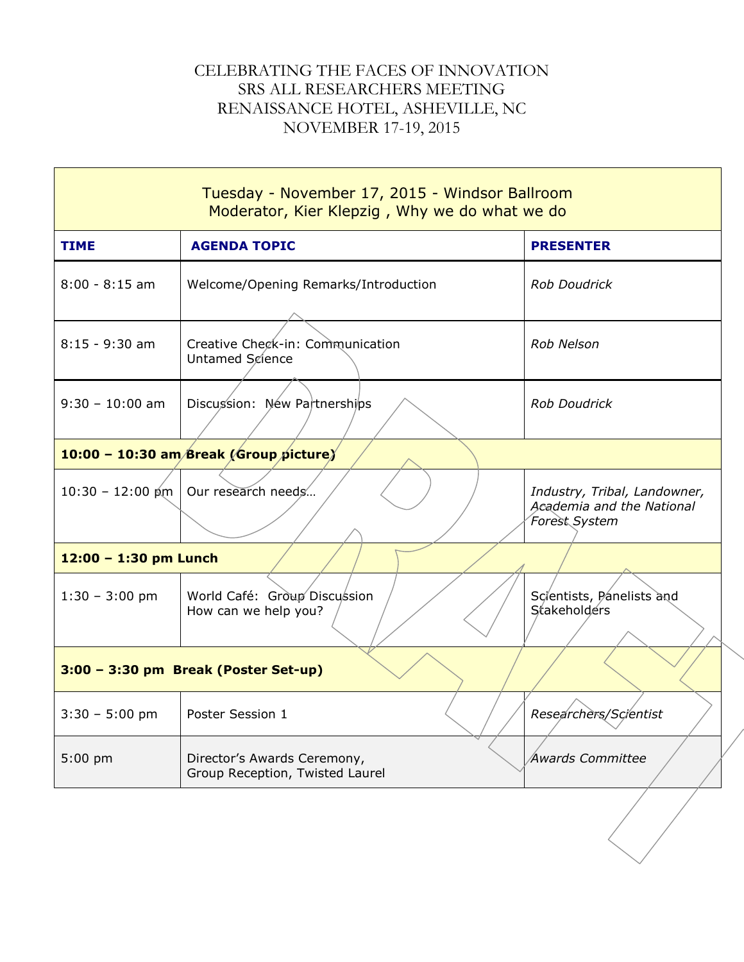## CELEBRATING THE FACES OF INNOVATION SRS ALL RESEARCHERS MEETING RENAISSANCE HOTEL, ASHEVILLE, NC NOVEMBER 17-19, 2015

| Tuesday - November 17, 2015 - Windsor Ballroom<br>Moderator, Kier Klepzig, Why we do what we do |                                                                |                                                                            |  |  |
|-------------------------------------------------------------------------------------------------|----------------------------------------------------------------|----------------------------------------------------------------------------|--|--|
| <b>TIME</b>                                                                                     | <b>AGENDA TOPIC</b>                                            | <b>PRESENTER</b>                                                           |  |  |
| $8:00 - 8:15$ am                                                                                | Welcome/Opening Remarks/Introduction                           | <b>Rob Doudrick</b>                                                        |  |  |
| $8:15 - 9:30$ am                                                                                | Creative Check-in: Communication<br>Untamed Science            | Rob Nelson                                                                 |  |  |
| $9:30 - 10:00$ am                                                                               | Discussion: New Partnerships                                   | <b>Rob Doudrick</b>                                                        |  |  |
| 10:00 - 10:30 am/Break (Group picture)                                                          |                                                                |                                                                            |  |  |
|                                                                                                 | 10:30 - 12:00 pm   Our research needs                          | Industry, Tribal, Landowner,<br>Academia and the National<br>Forest System |  |  |
| $12:00 - 1:30$ pm Lunch                                                                         |                                                                |                                                                            |  |  |
| $1:30 - 3:00$ pm                                                                                | World Café: Group Discussion<br>How can we help you?           | Scientists, Panelists and<br>Stakeholders                                  |  |  |
| 3:00 - 3:30 pm Break (Poster Set-up)                                                            |                                                                |                                                                            |  |  |
| $3:30 - 5:00$ pm   Poster Session 1                                                             |                                                                | Researchers/Scientist                                                      |  |  |
| $5:00$ pm                                                                                       | Director's Awards Ceremony,<br>Group Reception, Twisted Laurel | Awards Committee                                                           |  |  |
|                                                                                                 |                                                                |                                                                            |  |  |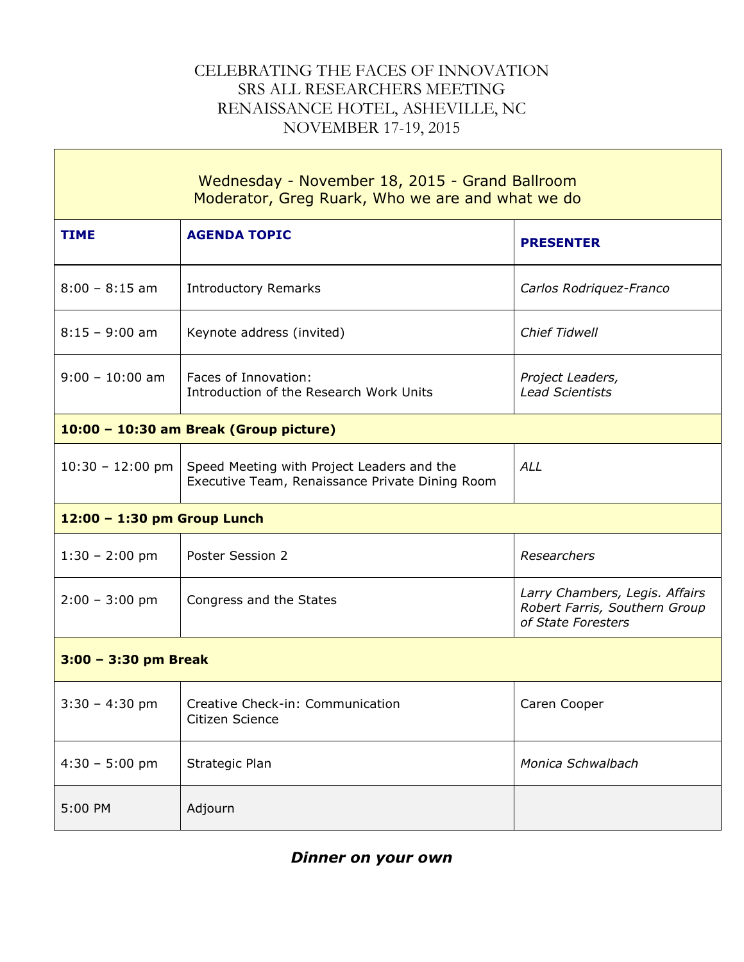## CELEBRATING THE FACES OF INNOVATION SRS ALL RESEARCHERS MEETING RENAISSANCE HOTEL, ASHEVILLE, NC NOVEMBER 17-19, 2015

 $\mathbf{L}$ 

| Wednesday - November 18, 2015 - Grand Ballroom<br>Moderator, Greg Ruark, Who we are and what we do |                                                                                               |                                                                                       |  |  |
|----------------------------------------------------------------------------------------------------|-----------------------------------------------------------------------------------------------|---------------------------------------------------------------------------------------|--|--|
| <b>TIME</b>                                                                                        | <b>AGENDA TOPIC</b>                                                                           | <b>PRESENTER</b>                                                                      |  |  |
| $8:00 - 8:15$ am                                                                                   | <b>Introductory Remarks</b>                                                                   | Carlos Rodriquez-Franco                                                               |  |  |
| $8:15 - 9:00$ am                                                                                   | Keynote address (invited)                                                                     | <b>Chief Tidwell</b>                                                                  |  |  |
| $9:00 - 10:00$ am                                                                                  | Faces of Innovation:<br>Introduction of the Research Work Units                               | Project Leaders,<br><b>Lead Scientists</b>                                            |  |  |
| 10:00 - 10:30 am Break (Group picture)                                                             |                                                                                               |                                                                                       |  |  |
| $10:30 - 12:00$ pm                                                                                 | Speed Meeting with Project Leaders and the<br>Executive Team, Renaissance Private Dining Room | <b>ALL</b>                                                                            |  |  |
| 12:00 - 1:30 pm Group Lunch                                                                        |                                                                                               |                                                                                       |  |  |
| $1:30 - 2:00$ pm                                                                                   | Poster Session 2                                                                              | Researchers                                                                           |  |  |
| $2:00 - 3:00$ pm                                                                                   | Congress and the States                                                                       | Larry Chambers, Legis. Affairs<br>Robert Farris, Southern Group<br>of State Foresters |  |  |
| $3:00 - 3:30$ pm Break                                                                             |                                                                                               |                                                                                       |  |  |
|                                                                                                    | 3:30 - 4:30 pm   Creative Check-in: Communication<br>Citizen Science                          | Caren Cooper                                                                          |  |  |
| $4:30 - 5:00$ pm                                                                                   | Strategic Plan                                                                                | Monica Schwalbach                                                                     |  |  |
| 5:00 PM                                                                                            | Adjourn                                                                                       |                                                                                       |  |  |

## *Dinner on your own*